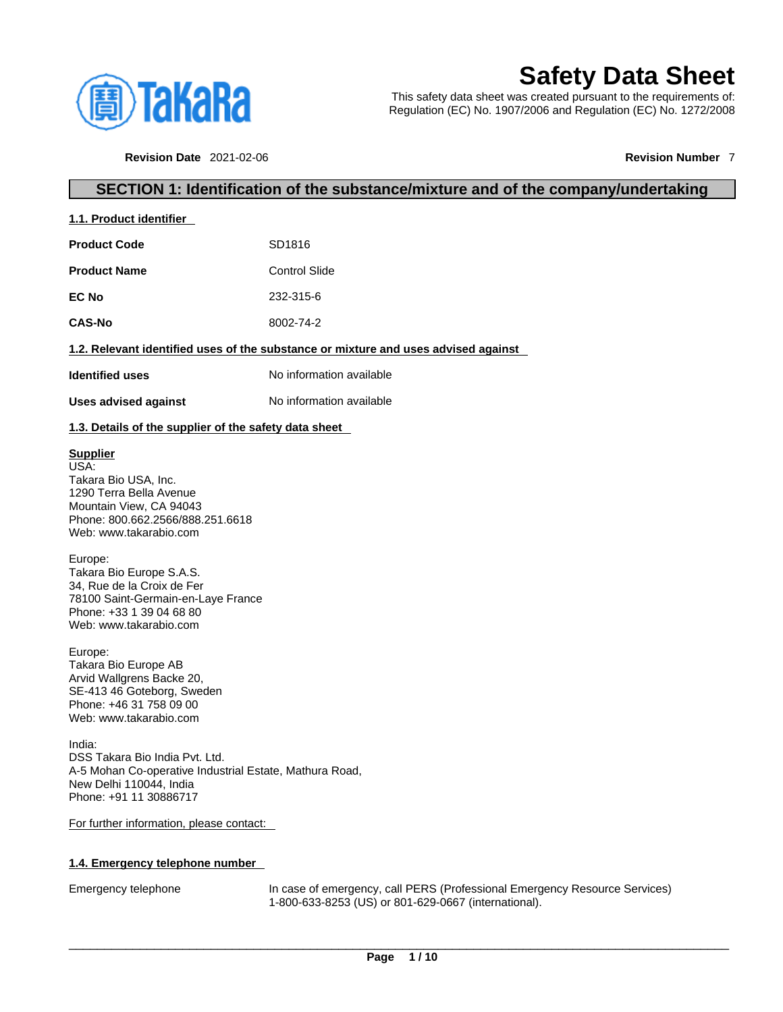

# **Safety Data Sheet**

This safety data sheet was created pursuant to the requirements of: Regulation (EC) No. 1907/2006 and Regulation (EC) No. 1272/2008

**Revision Date** 2021-02-06 **Revision Number** 7

## **SECTION 1: Identification of the substance/mixture and of the company/undertaking**

| 1.1. Product identifier                                                            |                          |  |  |  |
|------------------------------------------------------------------------------------|--------------------------|--|--|--|
| <b>Product Code</b>                                                                | SD1816                   |  |  |  |
| <b>Product Name</b>                                                                | <b>Control Slide</b>     |  |  |  |
| <b>EC No</b>                                                                       | 232-315-6                |  |  |  |
| <b>CAS-No</b>                                                                      | 8002-74-2                |  |  |  |
| 1.2. Relevant identified uses of the substance or mixture and uses advised against |                          |  |  |  |
| <b>Identified uses</b>                                                             | No information available |  |  |  |
| Uses advised against                                                               | No information available |  |  |  |
| 1.3 Details of the supplier of the safety data sheet                               |                          |  |  |  |

### **1.3. Details of the supplier of the safety data sheet**

### **Supplier**

USA: Takara Bio USA, Inc. 1290 Terra Bella Avenue Mountain View, CA 94043 Phone: 800.662.2566/888.251.6618 Web: www.takarabio.com

#### Europe:

Takara Bio Europe S.A.S. 34, Rue de la Croix de Fer 78100 Saint-Germain-en-Laye France Phone: +33 1 39 04 68 80 Web: www.takarabio.com

#### Europe:

Takara Bio Europe AB Arvid Wallgrens Backe 20, SE-413 46 Goteborg, Sweden Phone: +46 31 758 09 00 Web: www.takarabio.com

India: DSS Takara Bio India Pvt. Ltd. A-5 Mohan Co-operative Industrial Estate, Mathura Road, New Delhi 110044, India Phone: +91 11 30886717

#### For further information, please contact:

### **1.4. Emergency telephone number**

Emergency telephone In case of emergency, call PERS (Professional Emergency Resource Services) 1-800-633-8253 (US) or 801-629-0667 (international).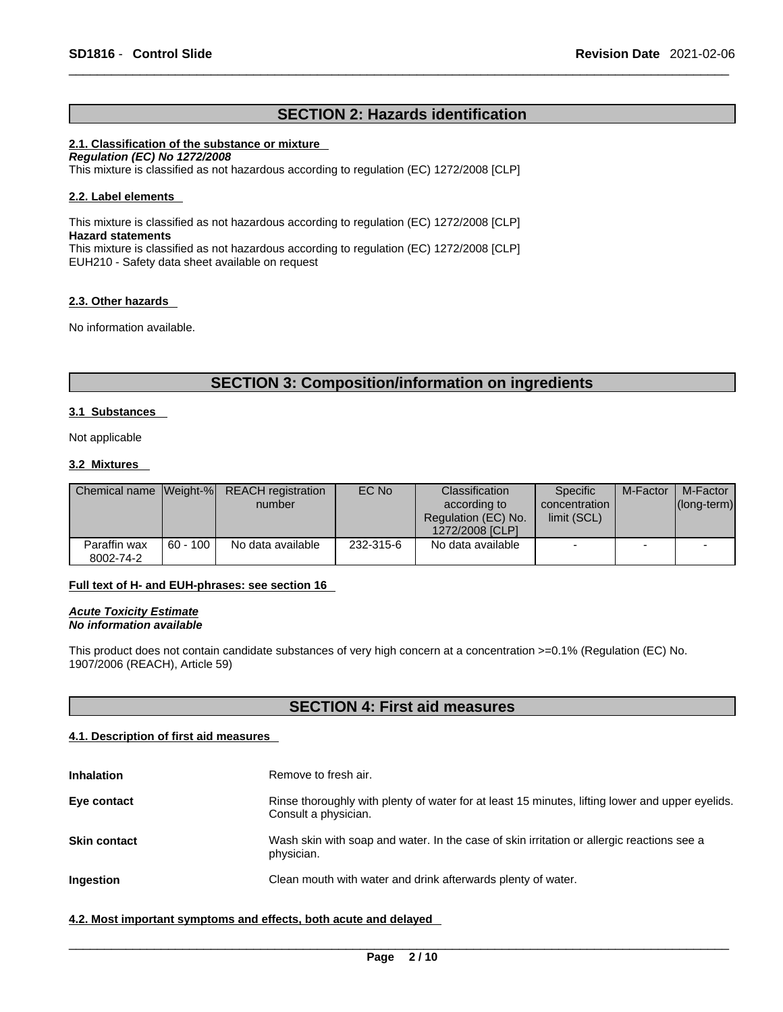## **SECTION 2: Hazards identification**

#### **2.1. Classification of the substance or mixture**

*Regulation (EC) No 1272/2008*  This mixture is classified as not hazardous according to regulation (EC) 1272/2008 [CLP]

#### **2.2. Label elements**

This mixture is classified as not hazardous according to regulation (EC) 1272/2008 [CLP] **Hazard statements** This mixture is classified as not hazardous according to regulation (EC) 1272/2008 [CLP] EUH210 - Safety data sheet available on request

#### **2.3. Other hazards**

No information available.

## **SECTION 3: Composition/information on ingredients**

#### **3.1 Substances**

Not applicable

#### **3.2 Mixtures**

|                           |            | Chemical name Weight-% REACH registration<br>number | EC No     | Classification<br>according to<br>Regulation (EC) No.<br>1272/2008 [CLP] | Specific<br>concentration<br>limit (SCL) | M-Factor                 | M-Factor<br>$ $ (long-term) $ $ |
|---------------------------|------------|-----------------------------------------------------|-----------|--------------------------------------------------------------------------|------------------------------------------|--------------------------|---------------------------------|
| Paraffin wax<br>8002-74-2 | $60 - 100$ | No data available                                   | 232-315-6 | No data available                                                        | $\overline{\phantom{0}}$                 | $\overline{\phantom{0}}$ | $\overline{\phantom{0}}$        |

#### **Full text of H- and EUH-phrases: see section 16**

*Acute Toxicity Estimate No information available* 

This product does not contain candidate substances of very high concern at a concentration >=0.1% (Regulation (EC) No. 1907/2006 (REACH), Article 59)

## **SECTION 4: First aid measures**

#### **4.1. Description of first aid measures**

| <b>Inhalation</b>   | Remove to fresh air.                                                                                                    |
|---------------------|-------------------------------------------------------------------------------------------------------------------------|
| Eye contact         | Rinse thoroughly with plenty of water for at least 15 minutes, lifting lower and upper eyelids.<br>Consult a physician. |
| <b>Skin contact</b> | Wash skin with soap and water. In the case of skin irritation or allergic reactions see a<br>physician.                 |
| Ingestion           | Clean mouth with water and drink afterwards plenty of water.                                                            |

#### **4.2. Most important symptoms and effects, both acute and delayed**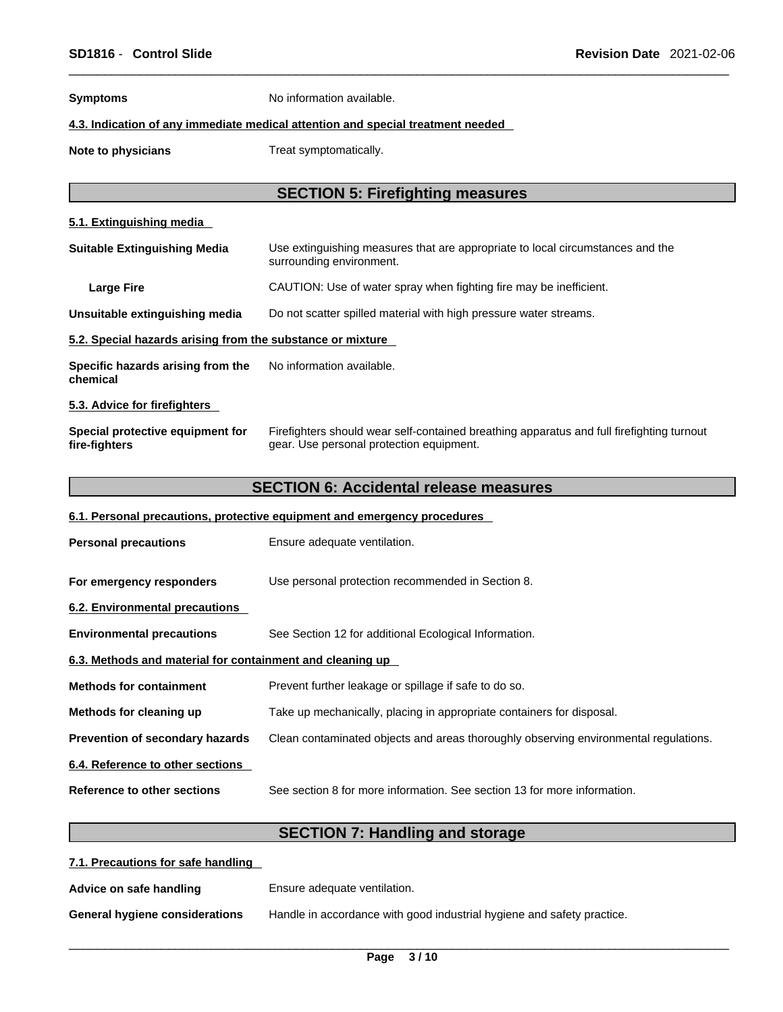**Symptoms** No information available.

#### **4.3. Indication of any immediate medical attention and special treatment needed**

**Note to physicians** Treat symptomatically.

## **SECTION 5: Firefighting measures**

#### **5.1. Extinguishing media**

| <b>Suitable Extinguishing Media</b>                        | Use extinguishing measures that are appropriate to local circumstances and the<br>surrounding environment.                            |  |  |
|------------------------------------------------------------|---------------------------------------------------------------------------------------------------------------------------------------|--|--|
| <b>Large Fire</b>                                          | CAUTION: Use of water spray when fighting fire may be inefficient.                                                                    |  |  |
| Unsuitable extinguishing media                             | Do not scatter spilled material with high pressure water streams.                                                                     |  |  |
| 5.2. Special hazards arising from the substance or mixture |                                                                                                                                       |  |  |
| Specific hazards arising from the<br>chemical              | No information available.                                                                                                             |  |  |
| 5.3. Advice for firefighters                               |                                                                                                                                       |  |  |
| Special protective equipment for<br>fire-fighters          | Firefighters should wear self-contained breathing apparatus and full firefighting turnout<br>gear. Use personal protection equipment. |  |  |

## **SECTION 6: Accidental release measures**

### **6.1. Personal precautions, protective equipment and emergency procedures**

| <b>Personal precautions</b>                               | Ensure adequate ventilation.                                                         |  |
|-----------------------------------------------------------|--------------------------------------------------------------------------------------|--|
| For emergency responders                                  | Use personal protection recommended in Section 8.                                    |  |
| 6.2. Environmental precautions                            |                                                                                      |  |
| <b>Environmental precautions</b>                          | See Section 12 for additional Ecological Information.                                |  |
| 6.3. Methods and material for containment and cleaning up |                                                                                      |  |
| <b>Methods for containment</b>                            | Prevent further leakage or spillage if safe to do so.                                |  |
| Methods for cleaning up                                   | Take up mechanically, placing in appropriate containers for disposal.                |  |
| Prevention of secondary hazards                           | Clean contaminated objects and areas thoroughly observing environmental regulations. |  |
| 6.4. Reference to other sections                          |                                                                                      |  |
| Reference to other sections                               | See section 8 for more information. See section 13 for more information.             |  |

## **SECTION 7: Handling and storage**

| 7.1. Precautions for safe handling |                                                                        |
|------------------------------------|------------------------------------------------------------------------|
| Advice on safe handling            | Ensure adequate ventilation.                                           |
| General hygiene considerations     | Handle in accordance with good industrial hygiene and safety practice. |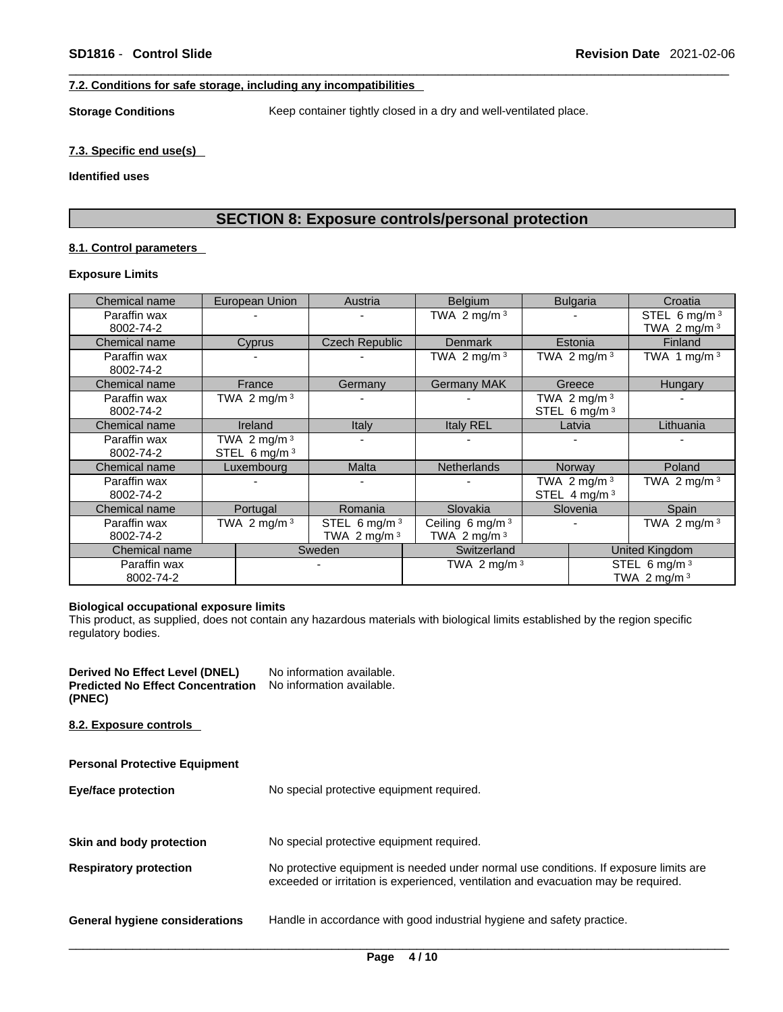#### **7.2. Conditions for safe storage, including any incompatibilities**

**Storage Conditions** Keep container tightly closed in a dry and well-ventilated place.

#### **7.3. Specific end use(s)**

#### **Identified uses**

## **SECTION 8: Exposure controls/personal protection**

#### **8.1. Control parameters**

### **Exposure Limits**

| Chemical name             | European Union                    | Austria                           | <b>Belgium</b>                                |  | <b>Bulgaria</b>                            | Croatia                           |
|---------------------------|-----------------------------------|-----------------------------------|-----------------------------------------------|--|--------------------------------------------|-----------------------------------|
| Paraffin wax<br>8002-74-2 |                                   |                                   | TWA 2 mg/m $3$                                |  |                                            | STEL 6 mg/m $3$<br>TWA 2 mg/m $3$ |
| Chemical name             | Cyprus                            | Czech Republic                    | <b>Denmark</b>                                |  | Estonia                                    | Finland                           |
| Paraffin wax<br>8002-74-2 |                                   |                                   | TWA 2 mg/m $3$                                |  | TWA 2 mg/m $3$                             | TWA 1 mg/m $3$                    |
| Chemical name             | France                            | Germany                           | <b>Germany MAK</b>                            |  | Greece                                     | Hungary                           |
| Paraffin wax<br>8002-74-2 | TWA 2 mg/m $3$                    |                                   |                                               |  | TWA 2 mg/m $3$<br>STEL 6 mg/m $3$          |                                   |
| Chemical name             | <b>Ireland</b>                    | Italy                             | Italy REL                                     |  | Latvia                                     | Lithuania                         |
| Paraffin wax<br>8002-74-2 | TWA 2 mg/m $3$<br>STEL 6 mg/m $3$ |                                   |                                               |  |                                            |                                   |
| Chemical name             | Luxembourg                        | <b>Malta</b>                      | <b>Netherlands</b>                            |  | Norway                                     | Poland                            |
| Paraffin wax<br>8002-74-2 |                                   |                                   |                                               |  | TWA 2 mg/m $3$<br>STEL 4 mg/m <sup>3</sup> | TWA 2 mg/m $3$                    |
| Chemical name             | Portugal                          | Romania                           | Slovakia                                      |  | Slovenia                                   | Spain                             |
| Paraffin wax<br>8002-74-2 | TWA 2 mg/m $3$                    | STEL 6 mg/m $3$<br>TWA 2 mg/m $3$ | Ceiling 6 mg/m <sup>3</sup><br>TWA 2 mg/m $3$ |  |                                            | TWA 2 mg/m $3$                    |
| Chemical name             |                                   | Sweden                            | Switzerland                                   |  |                                            | United Kingdom                    |
| Paraffin wax<br>8002-74-2 |                                   |                                   | TWA 2 mg/m $3$                                |  |                                            | STEL 6 mg/m $3$<br>TWA 2 mg/m $3$ |

#### **Biological occupational exposure limits**

This product, as supplied, does not contain any hazardous materials with biological limits established by the region specific regulatory bodies.

**Derived No Effect Level (DNEL)** No information available. **Predicted No Effect Concentration (PNEC)**  No information available.

**8.2. Exposure controls** 

| <b>Personal Protective Equipment</b>                                    |                                                                                                                                                                             |  |  |  |
|-------------------------------------------------------------------------|-----------------------------------------------------------------------------------------------------------------------------------------------------------------------------|--|--|--|
| No special protective equipment required.<br><b>Eye/face protection</b> |                                                                                                                                                                             |  |  |  |
|                                                                         |                                                                                                                                                                             |  |  |  |
| Skin and body protection                                                | No special protective equipment required.                                                                                                                                   |  |  |  |
| <b>Respiratory protection</b>                                           | No protective equipment is needed under normal use conditions. If exposure limits are<br>exceeded or irritation is experienced, ventilation and evacuation may be required. |  |  |  |
| <b>General hygiene considerations</b>                                   | Handle in accordance with good industrial hygiene and safety practice.                                                                                                      |  |  |  |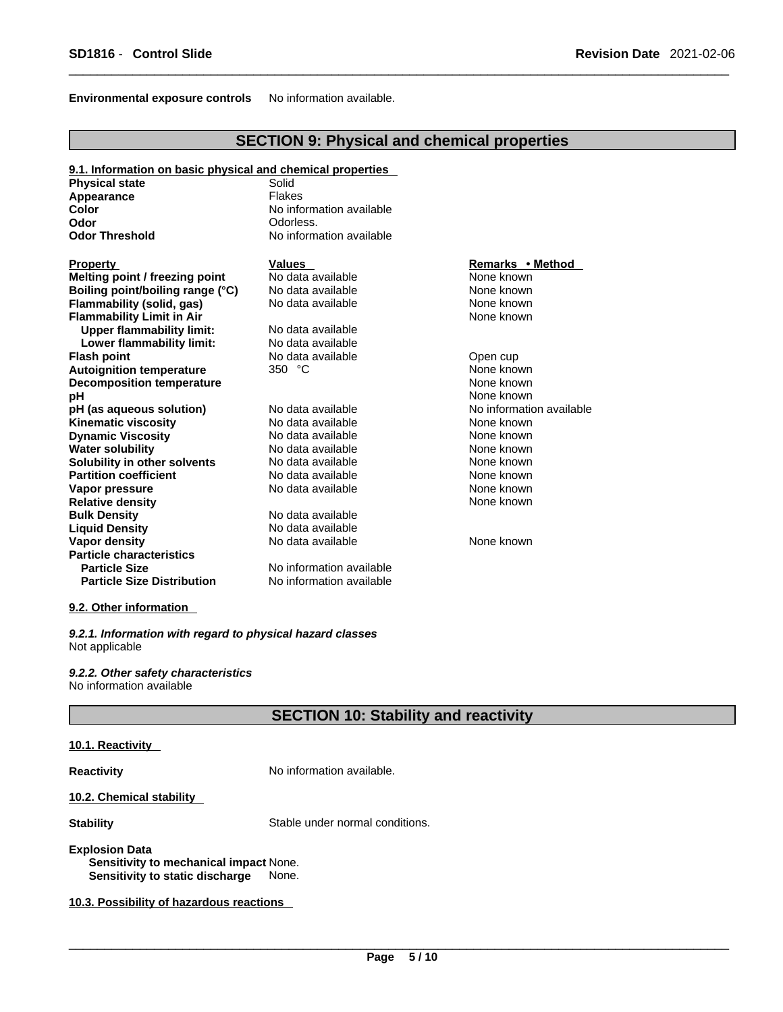#### **Environmental exposure controls** No information available.

## **SECTION 9: Physical and chemical properties**

#### **9.1. Information on basic physical and chemical properties**

| <b>Physical state</b>             | Solid                    |                          |  |
|-----------------------------------|--------------------------|--------------------------|--|
| Appearance                        | <b>Flakes</b>            |                          |  |
| Color                             | No information available |                          |  |
| Odor                              | Odorless.                |                          |  |
| Odor Threshold                    | No information available |                          |  |
| P <u>roperty</u>                  | <b>Values</b>            | Remarks • Method         |  |
| Melting point / freezing point    | No data available        | None known               |  |
| Boiling point/boiling range (°C)  | No data available        | None known               |  |
| Flammability (solid, gas)         | No data available        | None known               |  |
| <b>Flammability Limit in Air</b>  |                          | None known               |  |
| <b>Upper flammability limit:</b>  | No data available        |                          |  |
| Lower flammability limit:         | No data available        |                          |  |
| Flash point                       | No data available        | Open cup                 |  |
| <b>Autoignition temperature</b>   | 350 $°C$                 | None known               |  |
| Decomposition temperature         |                          | None known               |  |
| рH                                |                          | None known               |  |
| pH (as aqueous solution)          | No data available        | No information available |  |
| Kinematic viscosity               | No data available        | None known               |  |
| <b>Dynamic Viscosity</b>          | No data available        | None known               |  |
| <b>Water solubility</b>           | No data available        | None known               |  |
| Solubility in other solvents      | No data available        | None known               |  |
| <b>Partition coefficient</b>      | No data available        | None known               |  |
| Vapor pressure                    | No data available        | None known               |  |
| <b>Relative density</b>           |                          | None known               |  |
| <b>Bulk Density</b>               | No data available        |                          |  |
| <b>Liquid Density</b>             | No data available        |                          |  |
| Vapor density                     | No data available        | None known               |  |
| <b>Particle characteristics</b>   |                          |                          |  |
| <b>Particle Size</b>              | No information available |                          |  |
| <b>Particle Size Distribution</b> | No information available |                          |  |
|                                   |                          |                          |  |

#### **9.2. Other information**

*9.2.1. Information with regard to physical hazard classes* Not applicable

*9.2.2. Other safety characteristics* No information available

## **SECTION 10: Stability and reactivity**

### **10.1. Reactivity**

**Reactivity No information available.** 

#### **10.2. Chemical stability**

**Stability** Stable under normal conditions.

#### **Explosion Data**

**Sensitivity to mechanical impact** None. **Sensitivity to static discharge** None.

**10.3. Possibility of hazardous reactions**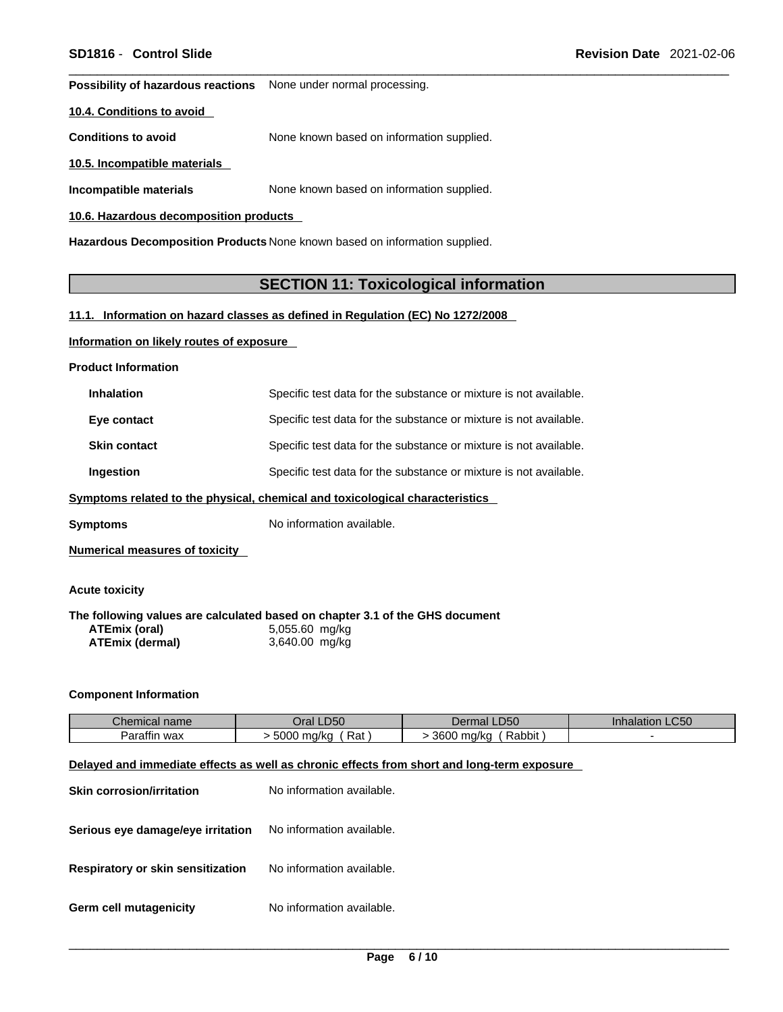**Possibility of hazardous reactions** None under normal processing.

#### **10.4. Conditions to avoid**

**Conditions to avoid** None known based on information supplied.

**10.5. Incompatible materials**

**Incompatible materials** None known based on information supplied.

#### **10.6. Hazardous decomposition products**

**Hazardous Decomposition Products** None known based on information supplied.

### **SECTION 11: Toxicological information**

#### **11.1. Information on hazard classes as defined in Regulation (EC) No 1272/2008**

#### **Information on likely routes of exposure**

**Product Information**

| <b>Inhalation</b>   | Specific test data for the substance or mixture is not available. |
|---------------------|-------------------------------------------------------------------|
| Eye contact         | Specific test data for the substance or mixture is not available. |
| <b>Skin contact</b> | Specific test data for the substance or mixture is not available. |
| <b>Ingestion</b>    | Specific test data for the substance or mixture is not available. |

#### **<u>Symptoms related to the physical, chemical and toxicological characteristics</u>**

**Symptoms** No information available.

**Numerical measures of toxicity**

#### **Acute toxicity**

**The following values are calculated based on chapter 3.1 of the GHS document ATEmix (oral)** 5,055.60 mg/kg<br>**ATEmix (dermal)** 3,640.00 mg/kg **ATEmix** (dermal)

#### **Component Information**

| Chemical name   | Oral LD50              | Dermal LD50             | LC50<br>ınnalatıc<br>an e |
|-----------------|------------------------|-------------------------|---------------------------|
| Paraffin<br>wax | 5000<br>Rat<br>) ma/ka | 3600<br>Rabbit<br>ma/ka |                           |

#### **Delayed and immediate effects as well as chronic effects from short and long-term exposure**

| <b>Skin corrosion/irritation</b>                                   | No information available. |
|--------------------------------------------------------------------|---------------------------|
| <b>Serious eye damage/eye irritation</b> No information available. |                           |
| Respiratory or skin sensitization                                  | No information available. |
| Germ cell mutagenicity                                             | No information available. |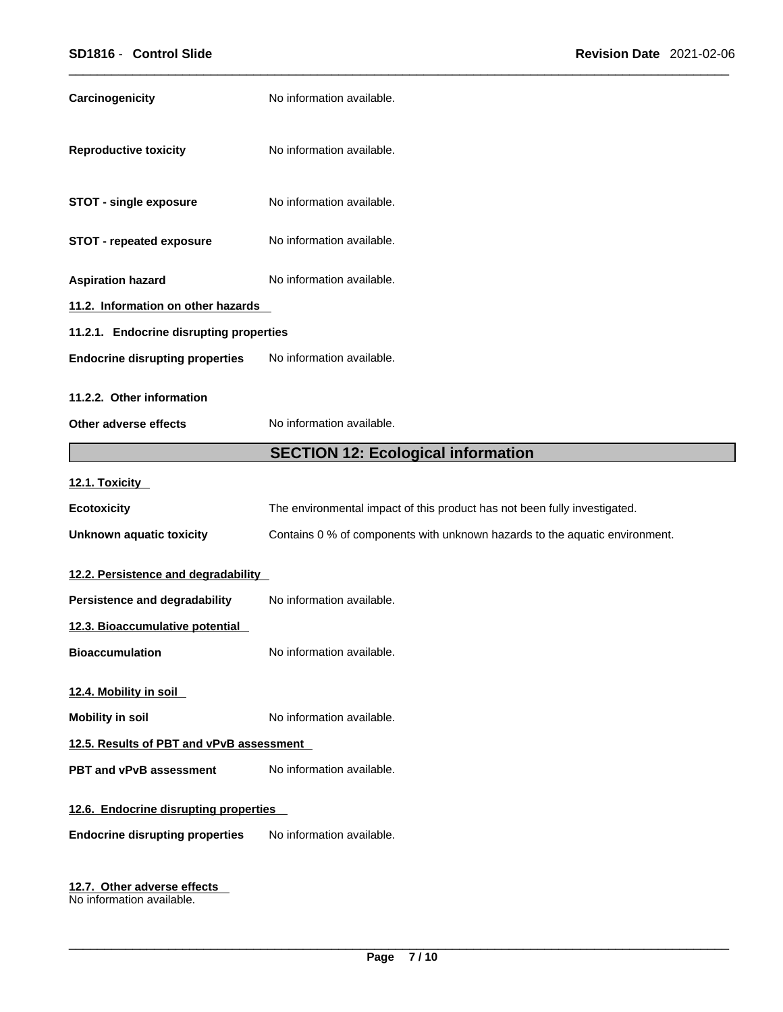| Carcinogenicity                          | No information available.                                                   |  |
|------------------------------------------|-----------------------------------------------------------------------------|--|
| <b>Reproductive toxicity</b>             | No information available.                                                   |  |
| <b>STOT - single exposure</b>            | No information available.                                                   |  |
| <b>STOT - repeated exposure</b>          | No information available.                                                   |  |
| <b>Aspiration hazard</b>                 | No information available.                                                   |  |
| 11.2. Information on other hazards       |                                                                             |  |
| 11.2.1. Endocrine disrupting properties  |                                                                             |  |
| <b>Endocrine disrupting properties</b>   | No information available.                                                   |  |
| 11.2.2. Other information                |                                                                             |  |
| Other adverse effects                    | No information available.                                                   |  |
|                                          | <b>SECTION 12: Ecological information</b>                                   |  |
| 12.1. Toxicity                           |                                                                             |  |
| <b>Ecotoxicity</b>                       | The environmental impact of this product has not been fully investigated.   |  |
| <b>Unknown aquatic toxicity</b>          | Contains 0 % of components with unknown hazards to the aquatic environment. |  |
| 12.2. Persistence and degradability      |                                                                             |  |
| <b>Persistence and degradability</b>     | No information available.                                                   |  |
| 12.3. Bioaccumulative potential          |                                                                             |  |
| <b>Bioaccumulation</b>                   | No information available.                                                   |  |
| 12.4. Mobility in soil                   |                                                                             |  |
| <b>Mobility in soil</b>                  | No information available.                                                   |  |
| 12.5. Results of PBT and vPvB assessment |                                                                             |  |
| <b>PBT and vPvB assessment</b>           | No information available.                                                   |  |
| 12.6. Endocrine disrupting properties    |                                                                             |  |
|                                          |                                                                             |  |
| <b>Endocrine disrupting properties</b>   | No information available.                                                   |  |

**12.7. Other adverse effects**  No information available.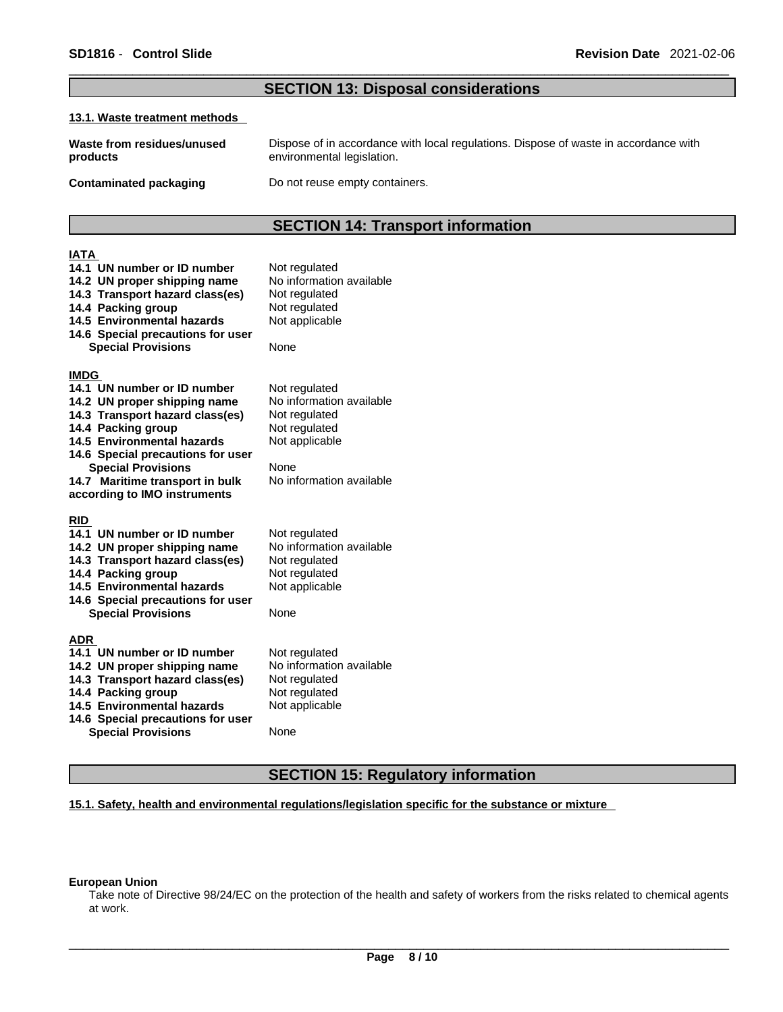## **SECTION 13: Disposal considerations**

#### **13.1. Waste treatment methods**

| Waste from residues/unused    | Dispose of in accordance with local regulations. Dispose of waste in accordance with |
|-------------------------------|--------------------------------------------------------------------------------------|
| products                      | environmental legislation.                                                           |
| <b>Contaminated packaging</b> | Do not reuse empty containers.                                                       |

## **SECTION 14: Transport information**

| IATA                              |                          |
|-----------------------------------|--------------------------|
| 14.1 UN number or ID number       | Not regulated            |
| 14.2 UN proper shipping name      | No information available |
| 14.3 Transport hazard class(es)   | Not regulated            |
| 14.4 Packing group                | Not regulated            |
| <b>14.5 Environmental hazards</b> | Not applicable           |
| 14.6 Special precautions for user |                          |
| <b>Special Provisions</b>         | None                     |
|                                   |                          |
| <b>IMDG</b>                       |                          |
| 14.1 UN number or ID number       | Not regulated            |
| 14.2 UN proper shipping name      | No information available |
| 14.3 Transport hazard class(es)   | Not regulated            |
| 14.4 Packing group                | Not regulated            |
| 14.5 Environmental hazards        | Not applicable           |
| 14.6 Special precautions for user |                          |
| <b>Special Provisions</b>         | None                     |
| 14.7 Maritime transport in bulk   | No information available |
| according to IMO instruments      |                          |
| <b>RID</b>                        |                          |
| 14.1 UN number or ID number       | Not regulated            |
| 14.2 UN proper shipping name      | No information available |
| 14.3 Transport hazard class(es)   | Not regulated            |
| 14.4 Packing group                | Not regulated            |
| 14.5 Environmental hazards        | Not applicable           |
| 14.6 Special precautions for user |                          |
| <b>Special Provisions</b>         | None                     |
|                                   |                          |
| <b>ADR</b>                        |                          |
| 14.1 UN number or ID number       | Not regulated            |
| 14.2 UN proper shipping name      | No information available |
| 14.3 Transport hazard class(es)   | Not regulated            |
| 14.4 Packing group                | Not regulated            |
| 14.5 Environmental hazards        | Not applicable           |
| 14.6 Special precautions for user |                          |
| <b>Special Provisions</b>         | None                     |

## **SECTION 15: Regulatory information**

**15.1. Safety, health and environmental regulations/legislation specific for the substance or mixture**

#### **European Union**

Take note of Directive 98/24/EC on the protection of the health and safety of workers from the risks related to chemical agents at work.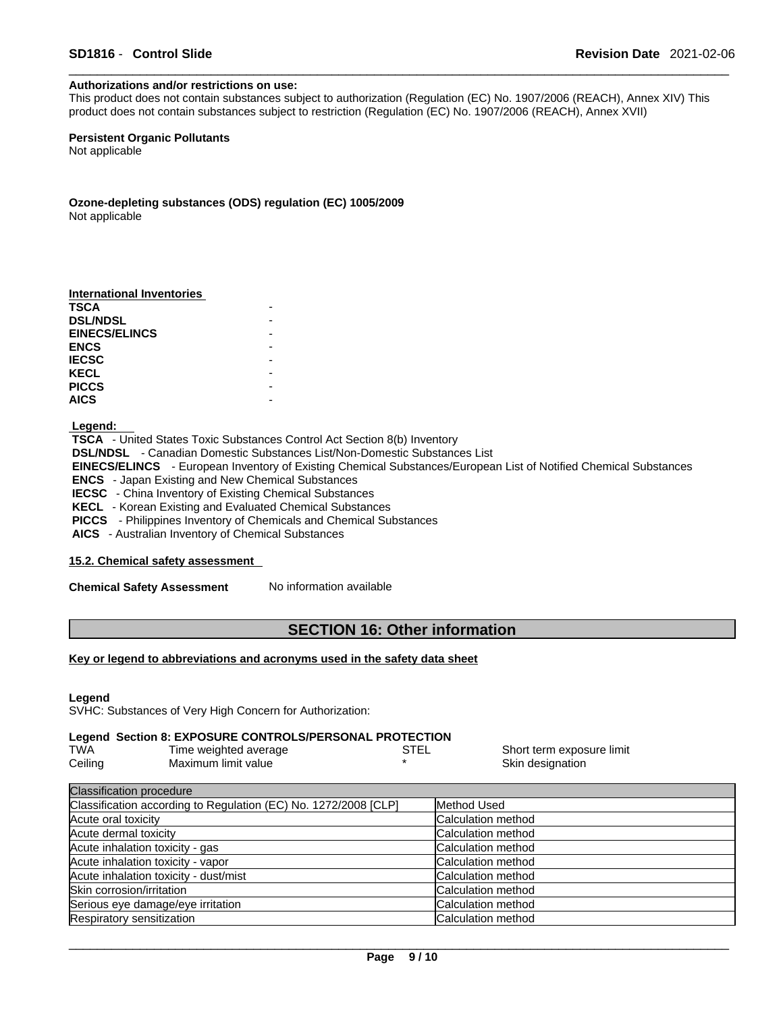#### **Authorizations and/or restrictions on use:**

This product does not contain substances subject to authorization (Regulation (EC) No. 1907/2006 (REACH), Annex XIV) This product does not contain substances subject to restriction (Regulation (EC) No. 1907/2006 (REACH), Annex XVII)

**Persistent Organic Pollutants** Not applicable

**Ozone-depleting substances (ODS) regulation (EC) 1005/2009**

Not applicable

 **Legend:** 

 **TSCA** - United States Toxic Substances Control Act Section 8(b) Inventory  **DSL/NDSL** - Canadian Domestic Substances List/Non-Domestic Substances List  **EINECS/ELINCS** - European Inventory of Existing Chemical Substances/European List of Notified Chemical Substances  **ENCS** - Japan Existing and New Chemical Substances **IECSC** - China Inventory of Existing Chemical Substances  **KECL** - Korean Existing and Evaluated Chemical Substances  **PICCS** - Philippines Inventory of Chemicals and Chemical Substances

 **AICS** - Australian Inventory of Chemical Substances

#### **15.2. Chemical safety assessment**

**Chemical Safety Assessment** No information available

### **SECTION 16: Other information**

#### **Key or legend to abbreviations and acronyms used in the safety data sheet**

**Legend** 

SVHC: Substances of Very High Concern for Authorization:

### **Legend Section 8: EXPOSURE CONTROLS/PERSONAL PROTECTION**

| <b>TWA</b> | Time weighted average | Short term exposure limit |
|------------|-----------------------|---------------------------|
| Ceiling    | Maximum limit value   | Skin designation          |

| <b>Classification procedure</b>                                 |                            |
|-----------------------------------------------------------------|----------------------------|
| Classification according to Regulation (EC) No. 1272/2008 [CLP] | Method Used                |
| Acute oral toxicity                                             | Calculation method         |
| Acute dermal toxicity                                           | Calculation method         |
| Acute inhalation toxicity - gas                                 | <b>Calculation method</b>  |
| Acute inhalation toxicity - vapor                               | Calculation method         |
| Acute inhalation toxicity - dust/mist                           | Calculation method         |
| Skin corrosion/irritation                                       | Calculation method         |
| Serious eye damage/eye irritation                               | Calculation method         |
| Respiratory sensitization                                       | <b>ICalculation method</b> |